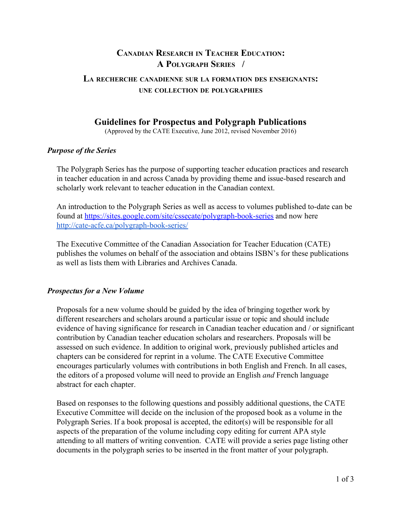# **CANADIAN RESEARCH IN TEACHER EDUCATION: A POLYGRAPH SERIES /**

## **L<sup>A</sup> RECHERCHE CANADIENNE SUR LA FORMATION DES ENSEIGNANTS: UNE COLLECTION DE POLYGRAPHIES**

# **Guidelines for Prospectus and Polygraph Publications**

(Approved by the CATE Executive, June 2012, revised November 2016)

#### *Purpose of the Series*

The Polygraph Series has the purpose of supporting teacher education practices and research in teacher education in and across Canada by providing theme and issue-based research and scholarly work relevant to teacher education in the Canadian context.

An introduction to the Polygraph Series as well as access to volumes published to-date can be found at <https://sites.google.com/site/cssecate/polygraph-book-series>and now here <http://cate-acfe.ca/polygraph-book-series/>

The Executive Committee of the Canadian Association for Teacher Education (CATE) publishes the volumes on behalf of the association and obtains ISBN's for these publications as well as lists them with Libraries and Archives Canada.

### *Prospectus for a New Volume*

Proposals for a new volume should be guided by the idea of bringing together work by different researchers and scholars around a particular issue or topic and should include evidence of having significance for research in Canadian teacher education and / or significant contribution by Canadian teacher education scholars and researchers. Proposals will be assessed on such evidence. In addition to original work, previously published articles and chapters can be considered for reprint in a volume. The CATE Executive Committee encourages particularly volumes with contributions in both English and French. In all cases, the editors of a proposed volume will need to provide an English *and* French language abstract for each chapter.

Based on responses to the following questions and possibly additional questions, the CATE Executive Committee will decide on the inclusion of the proposed book as a volume in the Polygraph Series. If a book proposal is accepted, the editor(s) will be responsible for all aspects of the preparation of the volume including copy editing for current APA style attending to all matters of writing convention. CATE will provide a series page listing other documents in the polygraph series to be inserted in the front matter of your polygraph.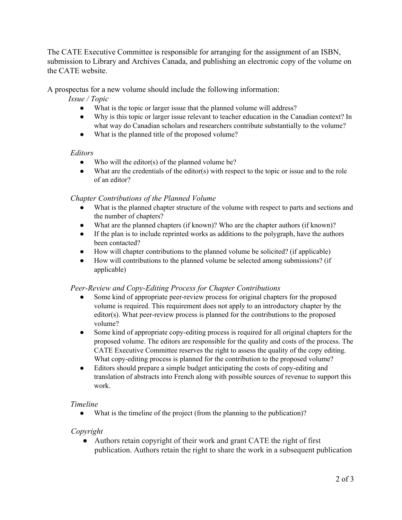The CATE Executive Committee is responsible for arranging for the assignment of an ISBN, submission to Library and Archives Canada, and publishing an electronic copy of the volume on the CATE website.

A prospectus for a new volume should include the following information:

*Issue / Topic*

- What is the topic or larger issue that the planned volume will address?
- Why is this topic or larger issue relevant to teacher education in the Canadian context? In what way do Canadian scholars and researchers contribute substantially to the volume?
- What is the planned title of the proposed volume?

#### *Editors*

- Who will the editor(s) of the planned volume be?
- $\bullet$  What are the credentials of the editor(s) with respect to the topic or issue and to the role of an editor?

### *Chapter Contributions of the Planned Volume*

- What is the planned chapter structure of the volume with respect to parts and sections and the number of chapters?
- What are the planned chapters (if known)? Who are the chapter authors (if known)?
- If the plan is to include reprinted works as additions to the polygraph, have the authors been contacted?
- How will chapter contributions to the planned volume be solicited? (if applicable)
- How will contributions to the planned volume be selected among submissions? (if applicable)

### *Peer-Review and Copy-Editing Process for Chapter Contributions*

- Some kind of appropriate peer-review process for original chapters for the proposed volume is required. This requirement does not apply to an introductory chapter by the editor(s). What peer-review process is planned for the contributions to the proposed volume?
- Some kind of appropriate copy-editing process is required for all original chapters for the proposed volume. The editors are responsible for the quality and costs of the process. The CATE Executive Committee reserves the right to assess the quality of the copy editing. What copy-editing process is planned for the contribution to the proposed volume?
- Editors should prepare a simple budget anticipating the costs of copy-editing and translation of abstracts into French along with possible sources of revenue to support this work.

### *Timeline*

• What is the timeline of the project (from the planning to the publication)?

#### *Copyright*

• Authors retain copyright of their work and grant CATE the right of first publication. Authors retain the right to share the work in a subsequent publication